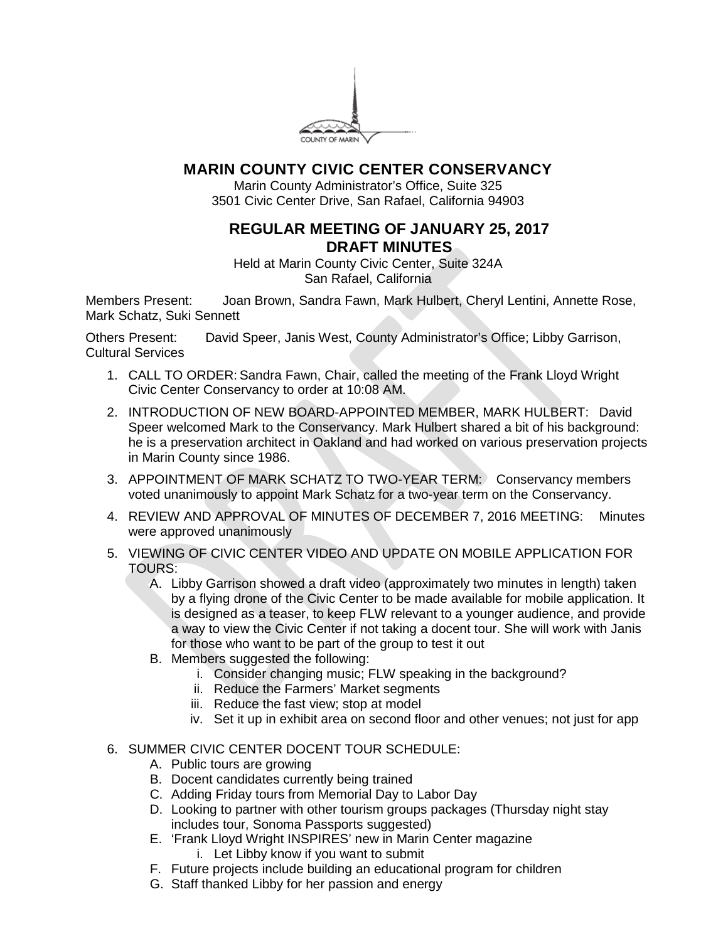

## **MARIN COUNTY CIVIC CENTER CONSERVANCY**

Marin County Administrator's Office, Suite 325 3501 Civic Center Drive, San Rafael, California 94903

## **REGULAR MEETING OF JANUARY 25, 2017 DRAFT MINUTES**

Held at Marin County Civic Center, Suite 324A San Rafael, California

Members Present: Joan Brown, Sandra Fawn, Mark Hulbert, Cheryl Lentini, Annette Rose, Mark Schatz, Suki Sennett

Others Present: David Speer, Janis West, County Administrator's Office; Libby Garrison, Cultural Services

- 1. CALL TO ORDER: Sandra Fawn, Chair, called the meeting of the Frank Lloyd Wright Civic Center Conservancy to order at 10:08 AM.
- 2. INTRODUCTION OF NEW BOARD-APPOINTED MEMBER, MARK HULBERT: David Speer welcomed Mark to the Conservancy. Mark Hulbert shared a bit of his background: he is a preservation architect in Oakland and had worked on various preservation projects in Marin County since 1986.
- 3. APPOINTMENT OF MARK SCHATZ TO TWO-YEAR TERM: Conservancy members voted unanimously to appoint Mark Schatz for a two-year term on the Conservancy.
- 4. REVIEW AND APPROVAL OF MINUTES OF DECEMBER 7, 2016 MEETING: Minutes were approved unanimously
- 5. VIEWING OF CIVIC CENTER VIDEO AND UPDATE ON MOBILE APPLICATION FOR TOURS:
	- A. Libby Garrison showed a draft video (approximately two minutes in length) taken by a flying drone of the Civic Center to be made available for mobile application. It is designed as a teaser, to keep FLW relevant to a younger audience, and provide a way to view the Civic Center if not taking a docent tour. She will work with Janis for those who want to be part of the group to test it out
	- B. Members suggested the following:
		- i. Consider changing music; FLW speaking in the background?
		- ii. Reduce the Farmers' Market segments
		- iii. Reduce the fast view; stop at model
		- iv. Set it up in exhibit area on second floor and other venues; not just for app

## 6. SUMMER CIVIC CENTER DOCENT TOUR SCHEDULE:

- A. Public tours are growing
- B. Docent candidates currently being trained
- C. Adding Friday tours from Memorial Day to Labor Day
- D. Looking to partner with other tourism groups packages (Thursday night stay includes tour, Sonoma Passports suggested)
- E. 'Frank Lloyd Wright INSPIRES' new in Marin Center magazine
	- i. Let Libby know if you want to submit
- F. Future projects include building an educational program for children
- G. Staff thanked Libby for her passion and energy